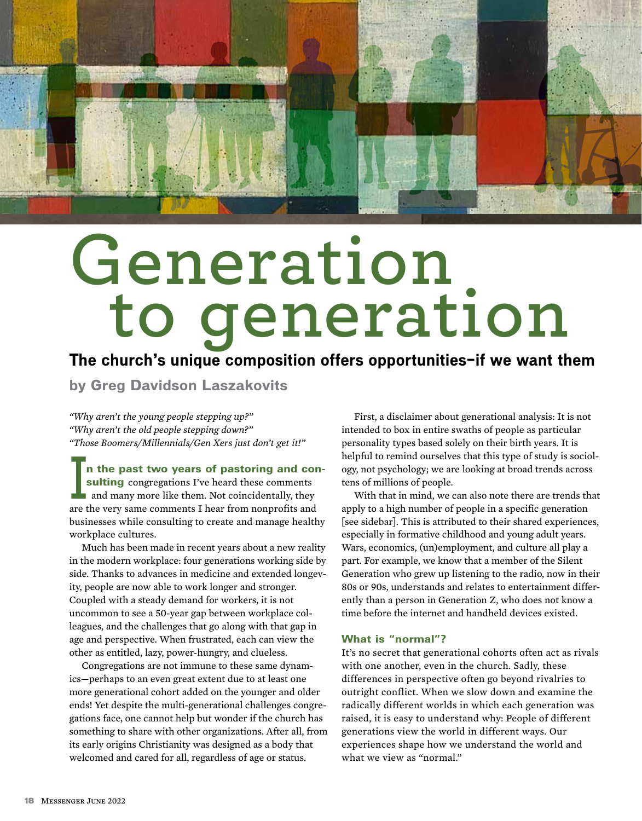

# **Generation to generation**

# **The church's unique composition offers opportunities—if we want them**

**by Greg Davidson Laszakovits**

*"Why aren't the young people stepping up?" "Why aren't the old people stepping down?" "Those Boomers/Millennials/Gen Xers just don't get it!"*

**In the past two years of pastoring and corsulting** congregations I've heard these comments and many more like them. Not coincidentally, they are the very same comments I hear from nonprofits and n the past two years of pastoring and consulting congregations I've heard these comments and many more like them. Not coincidentally, they businesses while consulting to create and manage healthy workplace cultures.

Much has been made in recent years about a new reality in the modern workplace: four generations working side by side. Thanks to advances in medicine and extended longevity, people are now able to work longer and stronger. Coupled with a steady demand for workers, it is not uncommon to see a 50-year gap between workplace colleagues, and the challenges that go along with that gap in age and perspective. When frustrated, each can view the other as entitled, lazy, power-hungry, and clueless.

Congregations are not immune to these same dynamics—perhaps to an even great extent due to at least one more generational cohort added on the younger and older ends! Yet despite the multi-generational challenges congregations face, one cannot help but wonder if the church has something to share with other organizations. After all, from its early origins Christianity was designed as a body that welcomed and cared for all, regardless of age or status.

First, a disclaimer about generational analysis: It is not intended to box in entire swaths of people as particular personality types based solely on their birth years. It is helpful to remind ourselves that this type of study is sociology, not psychology; we are looking at broad trends across tens of millions of people.

With that in mind, we can also note there are trends that apply to a high number of people in a specific generation [see sidebar]. This is attributed to their shared experiences, especially in formative childhood and young adult years. Wars, economics, (un)employment, and culture all play a part. For example, we know that a member of the Silent Generation who grew up listening to the radio, now in their 80s or 90s, understands and relates to entertainment differently than a person in Generation Z, who does not know a time before the internet and handheld devices existed.

#### What is "normal"?

It's no secret that generational cohorts often act as rivals with one another, even in the church. Sadly, these differences in perspective often go beyond rivalries to outright conflict. When we slow down and examine the radically different worlds in which each generation was raised, it is easy to understand why: People of different generations view the world in different ways. Our experiences shape how we understand the world and what we view as "normal."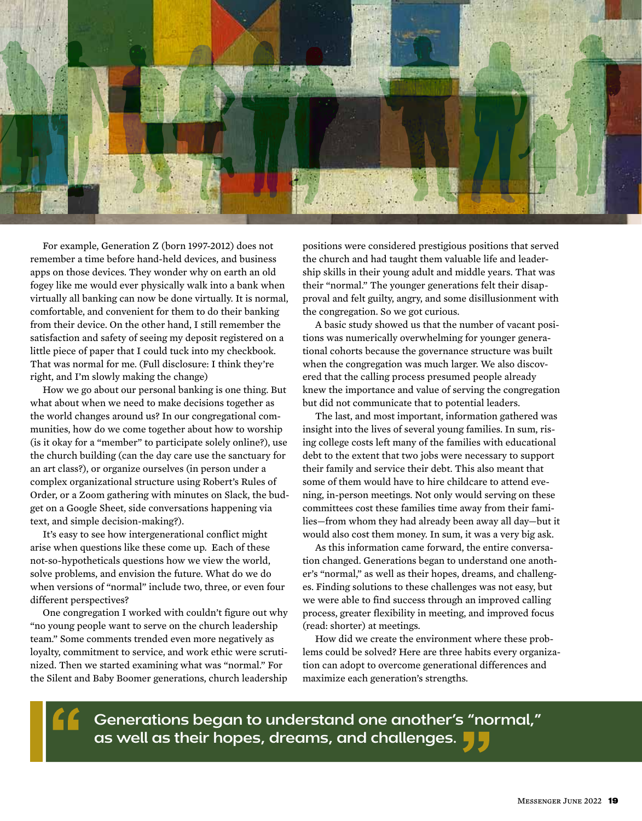

For example, Generation Z (born 1997-2012) does not remember a time before hand-held devices, and business apps on those devices. They wonder why on earth an old fogey like me would ever physically walk into a bank when virtually all banking can now be done virtually. It is normal, comfortable, and convenient for them to do their banking from their device. On the other hand, I still remember the satisfaction and safety of seeing my deposit registered on a little piece of paper that I could tuck into my checkbook. That was normal for me. (Full disclosure: I think they're right, and I'm slowly making the change)

How we go about our personal banking is one thing. But what about when we need to make decisions together as the world changes around us? In our congregational communities, how do we come together about how to worship (is it okay for a "member" to participate solely online?), use the church building (can the day care use the sanctuary for an art class?), or organize ourselves (in person under a complex organizational structure using Robert's Rules of Order, or a Zoom gathering with minutes on Slack, the budget on a Google Sheet, side conversations happening via text, and simple decision-making?).

It's easy to see how intergenerational conflict might arise when questions like these come up. Each of these not-so-hypotheticals questions how we view the world, solve problems, and envision the future. What do we do when versions of "normal" include two, three, or even four different perspectives?

One congregation I worked with couldn't figure out why "no young people want to serve on the church leadership team." Some comments trended even more negatively as loyalty, commitment to service, and work ethic were scrutinized. Then we started examining what was "normal." For the Silent and Baby Boomer generations, church leadership

positions were considered prestigious positions that served the church and had taught them valuable life and leadership skills in their young adult and middle years. That was their "normal." The younger generations felt their disapproval and felt guilty, angry, and some disillusionment with the congregation. So we got curious.

A basic study showed us that the number of vacant positions was numerically overwhelming for younger generational cohorts because the governance structure was built when the congregation was much larger. We also discovered that the calling process presumed people already knew the importance and value of serving the congregation but did not communicate that to potential leaders.

The last, and most important, information gathered was insight into the lives of several young families. In sum, rising college costs left many of the families with educational debt to the extent that two jobs were necessary to support their family and service their debt. This also meant that some of them would have to hire childcare to attend evening, in-person meetings. Not only would serving on these committees cost these families time away from their families—from whom they had already been away all day—but it would also cost them money. In sum, it was a very big ask.

As this information came forward, the entire conversation changed. Generations began to understand one another's "normal," as well as their hopes, dreams, and challenges. Finding solutions to these challenges was not easy, but we were able to find success through an improved calling process, greater flexibility in meeting, and improved focus (read: shorter) at meetings.

How did we create the environment where these problems could be solved? Here are three habits every organization can adopt to overcome generational differences and maximize each generation's strengths.

**Generations began to understand one another's "normal," as well as their hopes, dreams, and challenges.**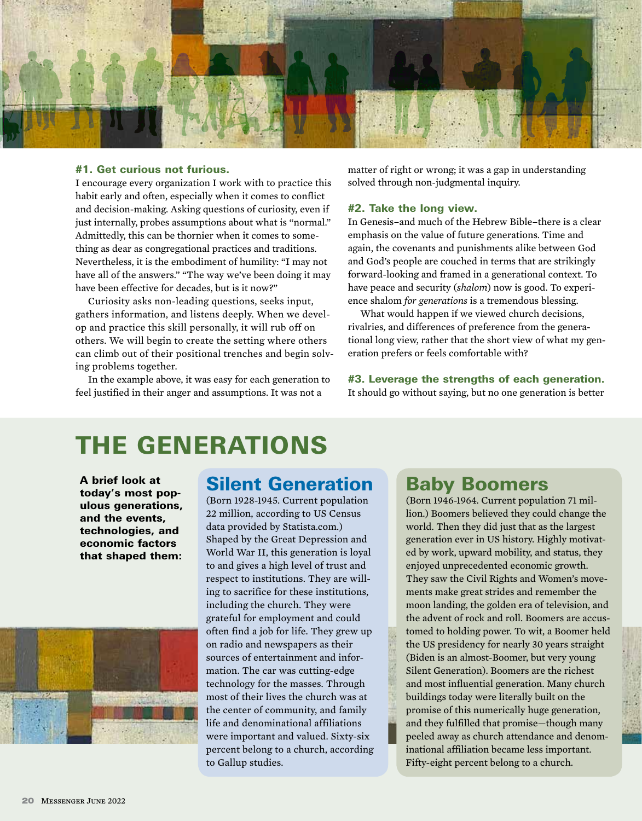

#### #1. Get curious not furious.

I encourage every organization I work with to practice this habit early and often, especially when it comes to conflict and decision-making. Asking questions of curiosity, even if just internally, probes assumptions about what is "normal." Admittedly, this can be thornier when it comes to something as dear as congregational practices and traditions. Nevertheless, it is the embodiment of humility: "I may not have all of the answers." "The way we've been doing it may have been effective for decades, but is it now?"

Curiosity asks non-leading questions, seeks input, gathers information, and listens deeply. When we develop and practice this skill personally, it will rub off on others. We will begin to create the setting where others can climb out of their positional trenches and begin solving problems together.

In the example above, it was easy for each generation to feel justified in their anger and assumptions. It was not a

matter of right or wrong; it was a gap in understanding solved through non-judgmental inquiry.

#### #2. Take the long view.

In Genesis–and much of the Hebrew Bible–there is a clear emphasis on the value of future generations. Time and again, the covenants and punishments alike between God and God's people are couched in terms that are strikingly forward-looking and framed in a generational context. To have peace and security (*shalom*) now is good. To experience shalom *for generations* is a tremendous blessing.

What would happen if we viewed church decisions, rivalries, and differences of preference from the generational long view, rather that the short view of what my generation prefers or feels comfortable with?

#3. Leverage the strengths of each generation. It should go without saying, but no one generation is better

# The generations

A brief look at today's most populous generations, and the events, technologies, and economic factors that shaped them:



#### Silent Generation

(Born 1928-1945. Current population 22 million, according to US Census data provided by Statista.com.) Shaped by the Great Depression and World War II, this generation is loyal to and gives a high level of trust and respect to institutions. They are willing to sacrifice for these institutions, including the church. They were grateful for employment and could often find a job for life. They grew up on radio and newspapers as their sources of entertainment and information. The car was cutting-edge technology for the masses. Through most of their lives the church was at the center of community, and family life and denominational affiliations were important and valued. Sixty-six percent belong to a church, according to Gallup studies.

## Baby Boomers

(Born 1946-1964. Current population 71 million.) Boomers believed they could change the world. Then they did just that as the largest generation ever in US history. Highly motivated by work, upward mobility, and status, they enjoyed unprecedented economic growth. They saw the Civil Rights and Women's movements make great strides and remember the moon landing, the golden era of television, and the advent of rock and roll. Boomers are accustomed to holding power. To wit, a Boomer held the US presidency for nearly 30 years straight (Biden is an almost-Boomer, but very young Silent Generation). Boomers are the richest and most influential generation. Many church buildings today were literally built on the promise of this numerically huge generation, and they fulfilled that promise—though many peeled away as church attendance and denominational affiliation became less important. Fifty-eight percent belong to a church.